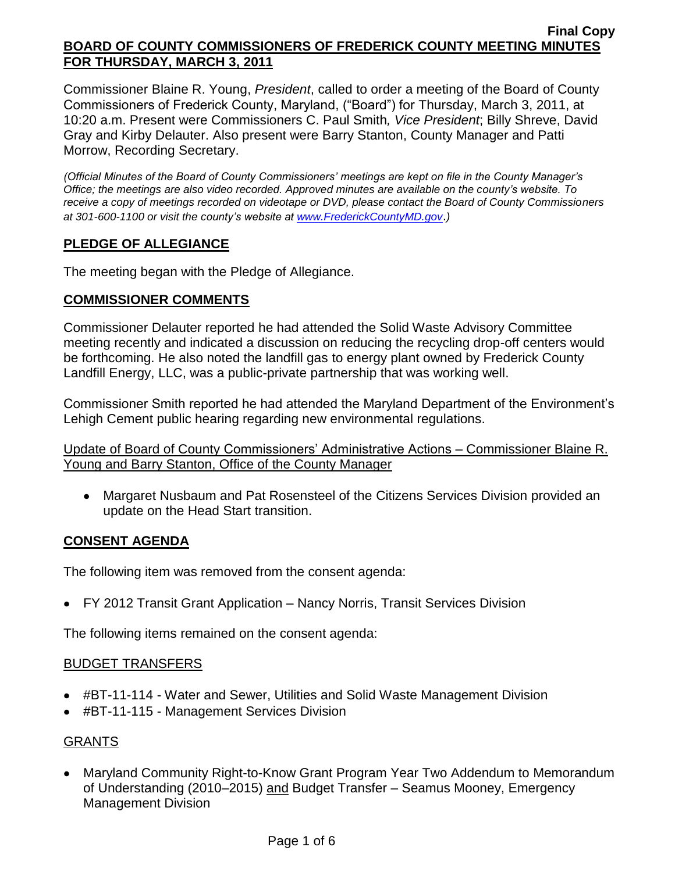Commissioner Blaine R. Young, *President*, called to order a meeting of the Board of County Commissioners of Frederick County, Maryland, ("Board") for Thursday, March 3, 2011, at 10:20 a.m. Present were Commissioners C. Paul Smith*, Vice President*; Billy Shreve, David Gray and Kirby Delauter. Also present were Barry Stanton, County Manager and Patti Morrow, Recording Secretary.

*(Official Minutes of the Board of County Commissioners' meetings are kept on file in the County Manager's Office; the meetings are also video recorded. Approved minutes are available on the county's website. To receive a copy of meetings recorded on videotape or DVD, please contact the Board of County Commissioners at 301-600-1100 or visit the county's website at [www.FrederickCountyMD.gov](http://www.frederickcountymd.gov/)*.*)*

# **PLEDGE OF ALLEGIANCE**

The meeting began with the Pledge of Allegiance.

# **COMMISSIONER COMMENTS**

Commissioner Delauter reported he had attended the Solid Waste Advisory Committee meeting recently and indicated a discussion on reducing the recycling drop-off centers would be forthcoming. He also noted the landfill gas to energy plant owned by Frederick County Landfill Energy, LLC, was a public-private partnership that was working well.

Commissioner Smith reported he had attended the Maryland Department of the Environment's Lehigh Cement public hearing regarding new environmental regulations.

Update of Board of County Commissioners' Administrative Actions – Commissioner Blaine R. Young and Barry Stanton, Office of the County Manager

Margaret Nusbaum and Pat Rosensteel of the Citizens Services Division provided an update on the Head Start transition.

# **CONSENT AGENDA**

The following item was removed from the consent agenda:

FY 2012 Transit Grant Application – Nancy Norris, Transit Services Division

The following items remained on the consent agenda:

## BUDGET TRANSFERS

- #BT-11-114 Water and Sewer, Utilities and Solid Waste Management Division
- #BT-11-115 Management Services Division

# GRANTS

Maryland Community Right-to-Know Grant Program Year Two Addendum to Memorandum of Understanding (2010–2015) and Budget Transfer – Seamus Mooney, Emergency Management Division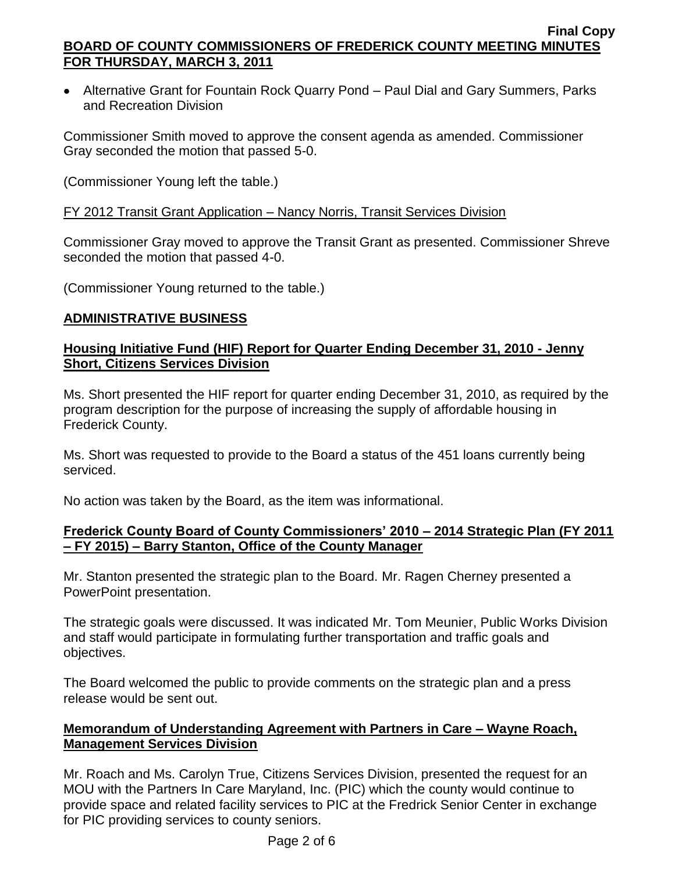Alternative Grant for Fountain Rock Quarry Pond – Paul Dial and Gary Summers, Parks and Recreation Division

Commissioner Smith moved to approve the consent agenda as amended. Commissioner Gray seconded the motion that passed 5-0.

(Commissioner Young left the table.)

# FY 2012 Transit Grant Application – Nancy Norris, Transit Services Division

Commissioner Gray moved to approve the Transit Grant as presented. Commissioner Shreve seconded the motion that passed 4-0.

(Commissioner Young returned to the table.)

# **ADMINISTRATIVE BUSINESS**

## **Housing Initiative Fund (HIF) Report for Quarter Ending December 31, 2010 - Jenny Short, Citizens Services Division**

Ms. Short presented the HIF report for quarter ending December 31, 2010, as required by the program description for the purpose of increasing the supply of affordable housing in Frederick County.

Ms. Short was requested to provide to the Board a status of the 451 loans currently being serviced.

No action was taken by the Board, as the item was informational.

## **Frederick County Board of County Commissioners' 2010 – 2014 Strategic Plan (FY 2011 – FY 2015) – Barry Stanton, Office of the County Manager**

Mr. Stanton presented the strategic plan to the Board. Mr. Ragen Cherney presented a PowerPoint presentation.

The strategic goals were discussed. It was indicated Mr. Tom Meunier, Public Works Division and staff would participate in formulating further transportation and traffic goals and objectives.

The Board welcomed the public to provide comments on the strategic plan and a press release would be sent out.

# **Memorandum of Understanding Agreement with Partners in Care – Wayne Roach, Management Services Division**

Mr. Roach and Ms. Carolyn True, Citizens Services Division, presented the request for an MOU with the Partners In Care Maryland, Inc. (PIC) which the county would continue to provide space and related facility services to PIC at the Fredrick Senior Center in exchange for PIC providing services to county seniors.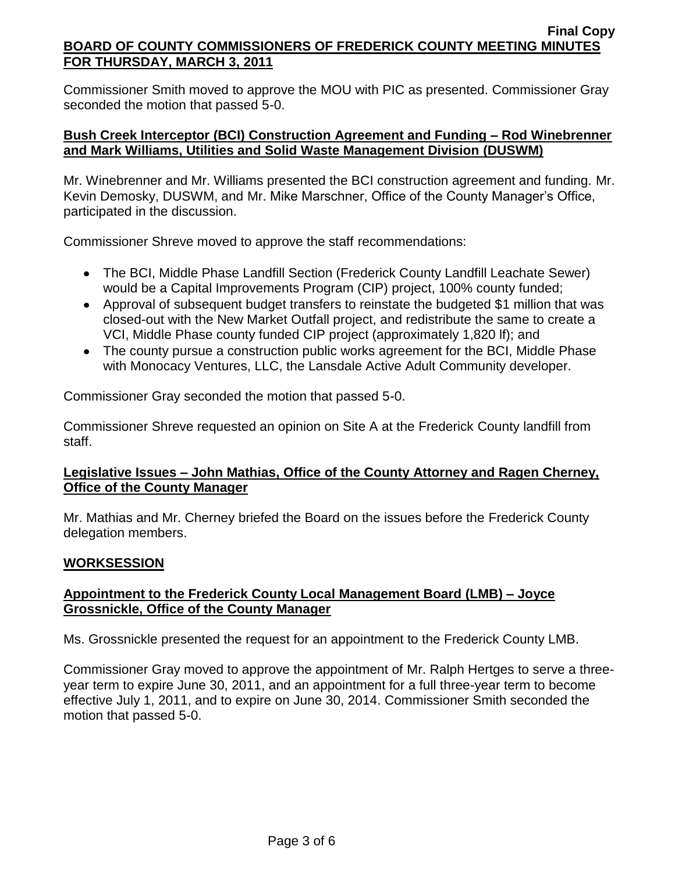Commissioner Smith moved to approve the MOU with PIC as presented. Commissioner Gray seconded the motion that passed 5-0.

## **Bush Creek Interceptor (BCI) Construction Agreement and Funding – Rod Winebrenner and Mark Williams, Utilities and Solid Waste Management Division (DUSWM)**

Mr. Winebrenner and Mr. Williams presented the BCI construction agreement and funding. Mr. Kevin Demosky, DUSWM, and Mr. Mike Marschner, Office of the County Manager's Office, participated in the discussion.

Commissioner Shreve moved to approve the staff recommendations:

- The BCI, Middle Phase Landfill Section (Frederick County Landfill Leachate Sewer) would be a Capital Improvements Program (CIP) project, 100% county funded;
- Approval of subsequent budget transfers to reinstate the budgeted \$1 million that was closed-out with the New Market Outfall project, and redistribute the same to create a VCI, Middle Phase county funded CIP project (approximately 1,820 lf); and
- The county pursue a construction public works agreement for the BCI, Middle Phase with Monocacy Ventures, LLC, the Lansdale Active Adult Community developer.

Commissioner Gray seconded the motion that passed 5-0.

Commissioner Shreve requested an opinion on Site A at the Frederick County landfill from staff.

# **Legislative Issues – John Mathias, Office of the County Attorney and Ragen Cherney, Office of the County Manager**

Mr. Mathias and Mr. Cherney briefed the Board on the issues before the Frederick County delegation members.

# **WORKSESSION**

# **Appointment to the Frederick County Local Management Board (LMB) – Joyce Grossnickle, Office of the County Manager**

Ms. Grossnickle presented the request for an appointment to the Frederick County LMB.

Commissioner Gray moved to approve the appointment of Mr. Ralph Hertges to serve a threeyear term to expire June 30, 2011, and an appointment for a full three-year term to become effective July 1, 2011, and to expire on June 30, 2014. Commissioner Smith seconded the motion that passed 5-0.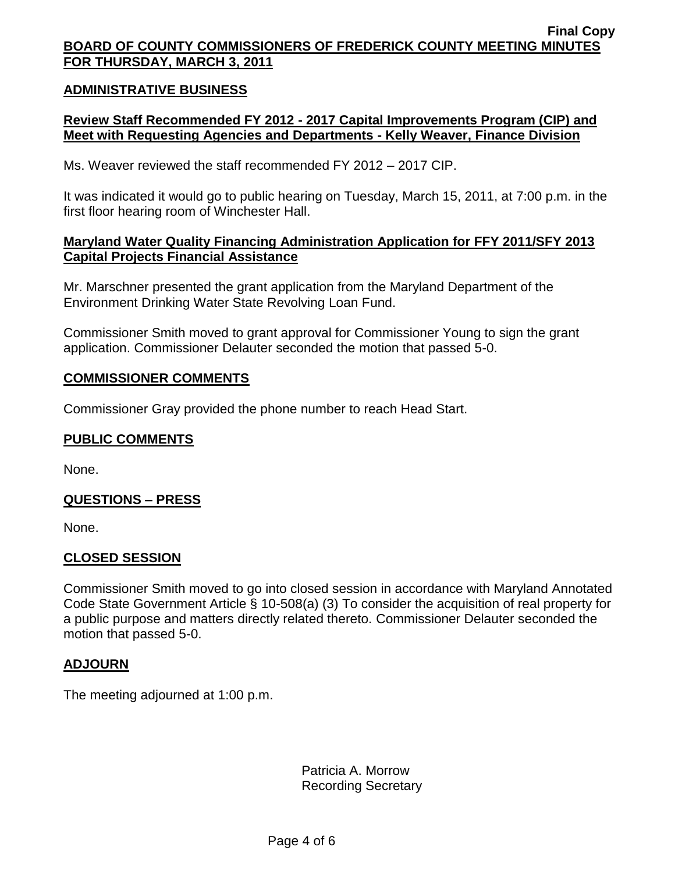### **ADMINISTRATIVE BUSINESS**

## **Review Staff Recommended FY 2012 - 2017 Capital Improvements Program (CIP) and Meet with Requesting Agencies and Departments - Kelly Weaver, Finance Division**

Ms. Weaver reviewed the staff recommended FY 2012 – 2017 CIP.

It was indicated it would go to public hearing on Tuesday, March 15, 2011, at 7:00 p.m. in the first floor hearing room of Winchester Hall.

## **Maryland Water Quality Financing Administration Application for FFY 2011/SFY 2013 Capital Projects Financial Assistance**

Mr. Marschner presented the grant application from the Maryland Department of the Environment Drinking Water State Revolving Loan Fund.

Commissioner Smith moved to grant approval for Commissioner Young to sign the grant application. Commissioner Delauter seconded the motion that passed 5-0.

#### **COMMISSIONER COMMENTS**

Commissioner Gray provided the phone number to reach Head Start.

### **PUBLIC COMMENTS**

None.

### **QUESTIONS – PRESS**

None.

#### **CLOSED SESSION**

Commissioner Smith moved to go into closed session in accordance with Maryland Annotated Code State Government Article § 10-508(a) (3) To consider the acquisition of real property for a public purpose and matters directly related thereto. Commissioner Delauter seconded the motion that passed 5-0.

#### **ADJOURN**

The meeting adjourned at 1:00 p.m.

Patricia A. Morrow Recording Secretary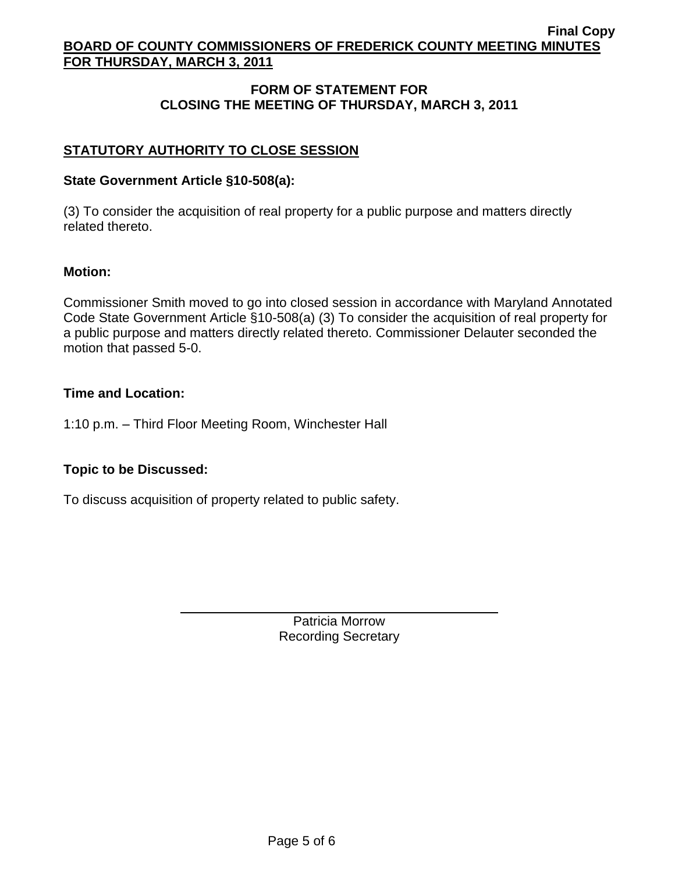# **FORM OF STATEMENT FOR CLOSING THE MEETING OF THURSDAY, MARCH 3, 2011**

# **STATUTORY AUTHORITY TO CLOSE SESSION**

## **State Government Article §10-508(a):**

(3) To consider the acquisition of real property for a public purpose and matters directly related thereto.

### **Motion:**

Commissioner Smith moved to go into closed session in accordance with Maryland Annotated Code State Government Article §10-508(a) (3) To consider the acquisition of real property for a public purpose and matters directly related thereto. Commissioner Delauter seconded the motion that passed 5-0.

### **Time and Location:**

1:10 p.m. – Third Floor Meeting Room, Winchester Hall

## **Topic to be Discussed:**

To discuss acquisition of property related to public safety.

Patricia Morrow Recording Secretary